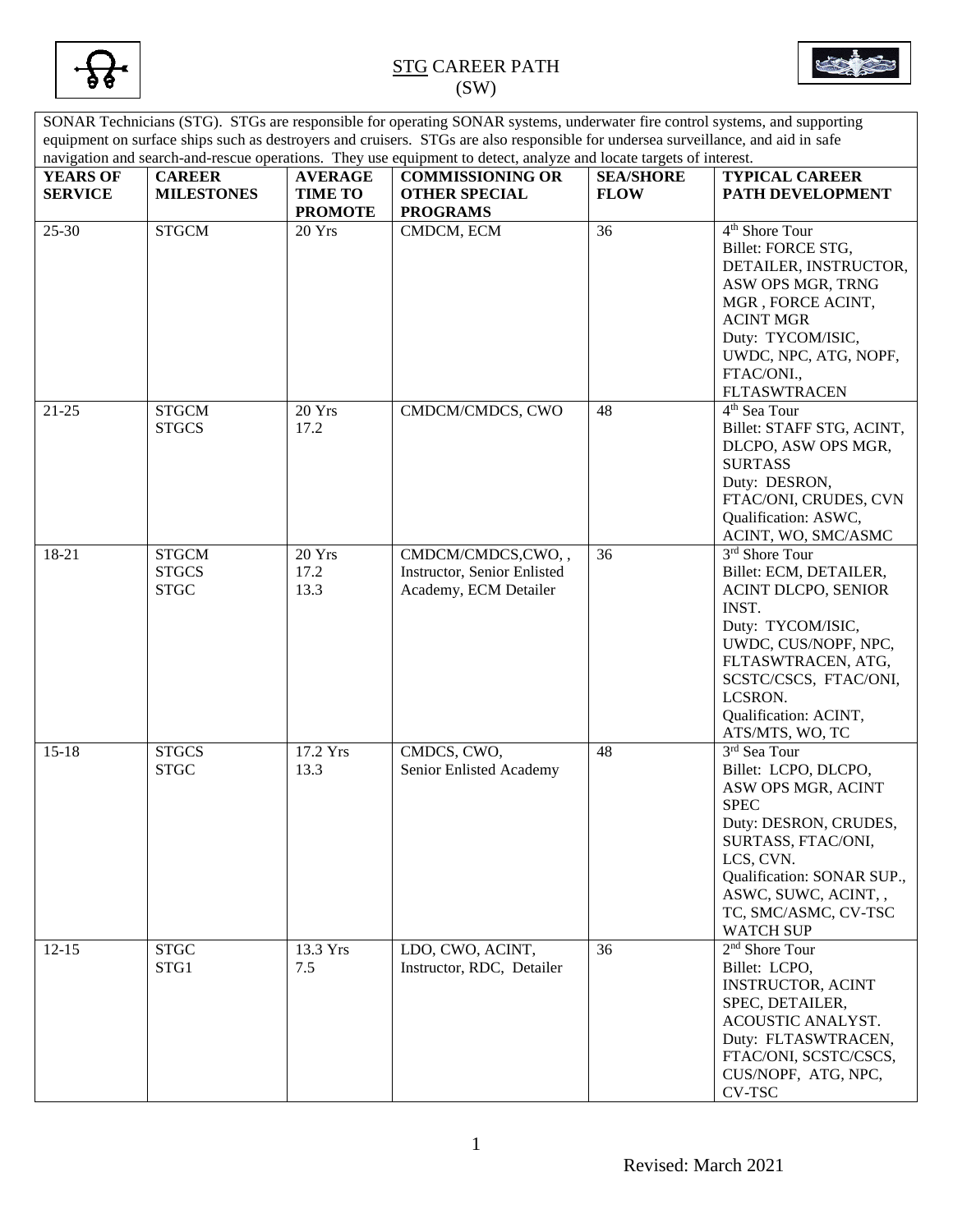



SONAR Technicians (STG). STGs are responsible for operating SONAR systems, underwater fire control systems, and supporting equipment on surface ships such as destroyers and cruisers. STGs are also responsible for undersea surveillance, and aid in safe navigation and search-and-rescue operations. They use equipment to detect, analyze and locate targets of interest. **YEARS OF SERVICE CAREER MILESTONES AVERAGE TIME TO PROMOTE COMMISSIONING OR OTHER SPECIAL PROGRAMS SEA/SHORE FLOW TYPICAL CAREER PATH DEVELOPMENT** 25-30 STGCM 20 Yrs CMDCM, ECM 36 4<sup>th</sup> Shore Tour Billet: FORCE STG, DETAILER, INSTRUCTOR, ASW OPS MGR, TRNG MGR , FORCE ACINT, ACINT MGR Duty: TYCOM/ISIC, UWDC, NPC, ATG, NOPF, FTAC/ONI., FLTASWTRACEN 21-25 STGCM **STGCS** 20 Yrs 17.2 CMDCM/CMDCS, CWO | 48 4<sup>th</sup> Sea Tour Billet: STAFF STG, ACINT, DLCPO, ASW OPS MGR, SURTASS Duty: DESRON, FTAC/ONI, CRUDES, CVN Qualification: ASWC, ACINT, WO, SMC/ASMC 18-21 STGCM **STGCS** STGC 20 Yrs 17.2 13.3 CMDCM/CMDCS,CWO, , Instructor, Senior Enlisted Academy, ECM Detailer 36 3 3<sup>rd</sup> Shore Tour Billet: ECM, DETAILER, ACINT DLCPO, SENIOR INST. Duty: TYCOM/ISIC, UWDC, CUS/NOPF, NPC, FLTASWTRACEN, ATG, SCSTC/CSCS, FTAC/ONI, LCSRON. Qualification: ACINT, ATS/MTS, WO, TC 15-18 STGCS **STGC** 17.2 Yrs 13.3 CMDCS, CWO, Senior Enlisted Academy 48 3 3rd Sea Tour Billet: LCPO, DLCPO, ASW OPS MGR, ACINT SPEC Duty: DESRON, CRUDES, SURTASS, FTAC/ONI, LCS, CVN. Qualification: SONAR SUP., ASWC, SUWC, ACINT, , TC, SMC/ASMC, CV-TSC WATCH SUP 12-15 STGC STG1 13.3 Yrs 7.5 LDO, CWO, ACINT, Instructor, RDC, Detailer 36  $2<sup>nd</sup>$  Shore Tour Billet: LCPO, INSTRUCTOR, ACINT SPEC, DETAILER, ACOUSTIC ANALYST. Duty: FLTASWTRACEN, FTAC/ONI, SCSTC/CSCS, CUS/NOPF, ATG, NPC, CV-TSC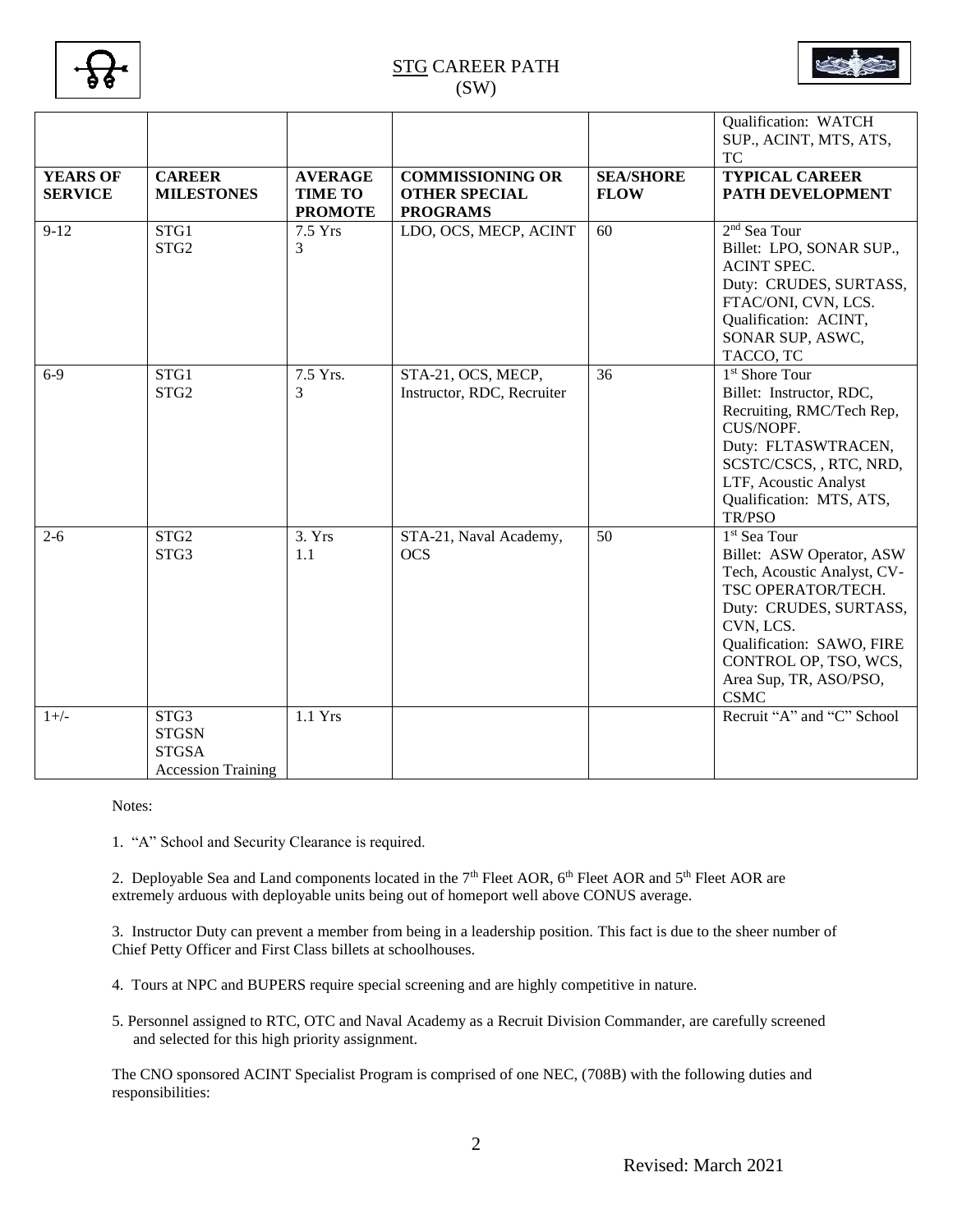

|                                   |                                                                   |                                                    |                                                                    |                                 | Qualification: WATCH<br>SUP., ACINT, MTS, ATS,<br><b>TC</b>                                                                                                                                                                                      |
|-----------------------------------|-------------------------------------------------------------------|----------------------------------------------------|--------------------------------------------------------------------|---------------------------------|--------------------------------------------------------------------------------------------------------------------------------------------------------------------------------------------------------------------------------------------------|
| <b>YEARS OF</b><br><b>SERVICE</b> | <b>CAREER</b><br><b>MILESTONES</b>                                | <b>AVERAGE</b><br><b>TIME TO</b><br><b>PROMOTE</b> | <b>COMMISSIONING OR</b><br><b>OTHER SPECIAL</b><br><b>PROGRAMS</b> | <b>SEA/SHORE</b><br><b>FLOW</b> | <b>TYPICAL CAREER</b><br>PATH DEVELOPMENT                                                                                                                                                                                                        |
| $9-12$                            | STG1<br>STG <sub>2</sub>                                          | 7.5 Yrs<br>3                                       | LDO, OCS, MECP, ACINT                                              | 60                              | 2 <sup>nd</sup> Sea Tour<br>Billet: LPO, SONAR SUP.,<br><b>ACINT SPEC.</b><br>Duty: CRUDES, SURTASS,<br>FTAC/ONI, CVN, LCS.<br>Qualification: ACINT,<br>SONAR SUP, ASWC,<br>TACCO, TC                                                            |
| $6-9$                             | STG1<br>STG <sub>2</sub>                                          | 7.5 Yrs.<br>3                                      | STA-21, OCS, MECP,<br>Instructor, RDC, Recruiter                   | 36                              | 1 <sup>st</sup> Shore Tour<br>Billet: Instructor, RDC,<br>Recruiting, RMC/Tech Rep,<br>CUS/NOPF.<br>Duty: FLTASWTRACEN,<br>SCSTC/CSCS, , RTC, NRD,<br>LTF, Acoustic Analyst<br>Qualification: MTS, ATS,<br>TR/PSO                                |
| $2 - 6$                           | STG <sub>2</sub><br>STG3                                          | 3. Yrs<br>1.1                                      | STA-21, Naval Academy,<br><b>OCS</b>                               | 50                              | 1 <sup>st</sup> Sea Tour<br>Billet: ASW Operator, ASW<br>Tech, Acoustic Analyst, CV-<br>TSC OPERATOR/TECH.<br>Duty: CRUDES, SURTASS,<br>CVN, LCS.<br>Qualification: SAWO, FIRE<br>CONTROL OP, TSO, WCS,<br>Area Sup, TR, ASO/PSO,<br><b>CSMC</b> |
| $1+/-$                            | STG3<br><b>STGSN</b><br><b>STGSA</b><br><b>Accession Training</b> | 1.1 Yrs                                            |                                                                    |                                 | Recruit "A" and "C" School                                                                                                                                                                                                                       |

Notes:

1. "A" School and Security Clearance is required.

2. Deployable Sea and Land components located in the  $7<sup>th</sup>$  Fleet AOR,  $6<sup>th</sup>$  Fleet AOR and  $5<sup>th</sup>$  Fleet AOR are extremely arduous with deployable units being out of homeport well above CONUS average.

3. Instructor Duty can prevent a member from being in a leadership position. This fact is due to the sheer number of Chief Petty Officer and First Class billets at schoolhouses.

- 4. Tours at NPC and BUPERS require special screening and are highly competitive in nature.
- 5. Personnel assigned to RTC, OTC and Naval Academy as a Recruit Division Commander, are carefully screened and selected for this high priority assignment.

The CNO sponsored ACINT Specialist Program is comprised of one NEC, (708B) with the following duties and responsibilities: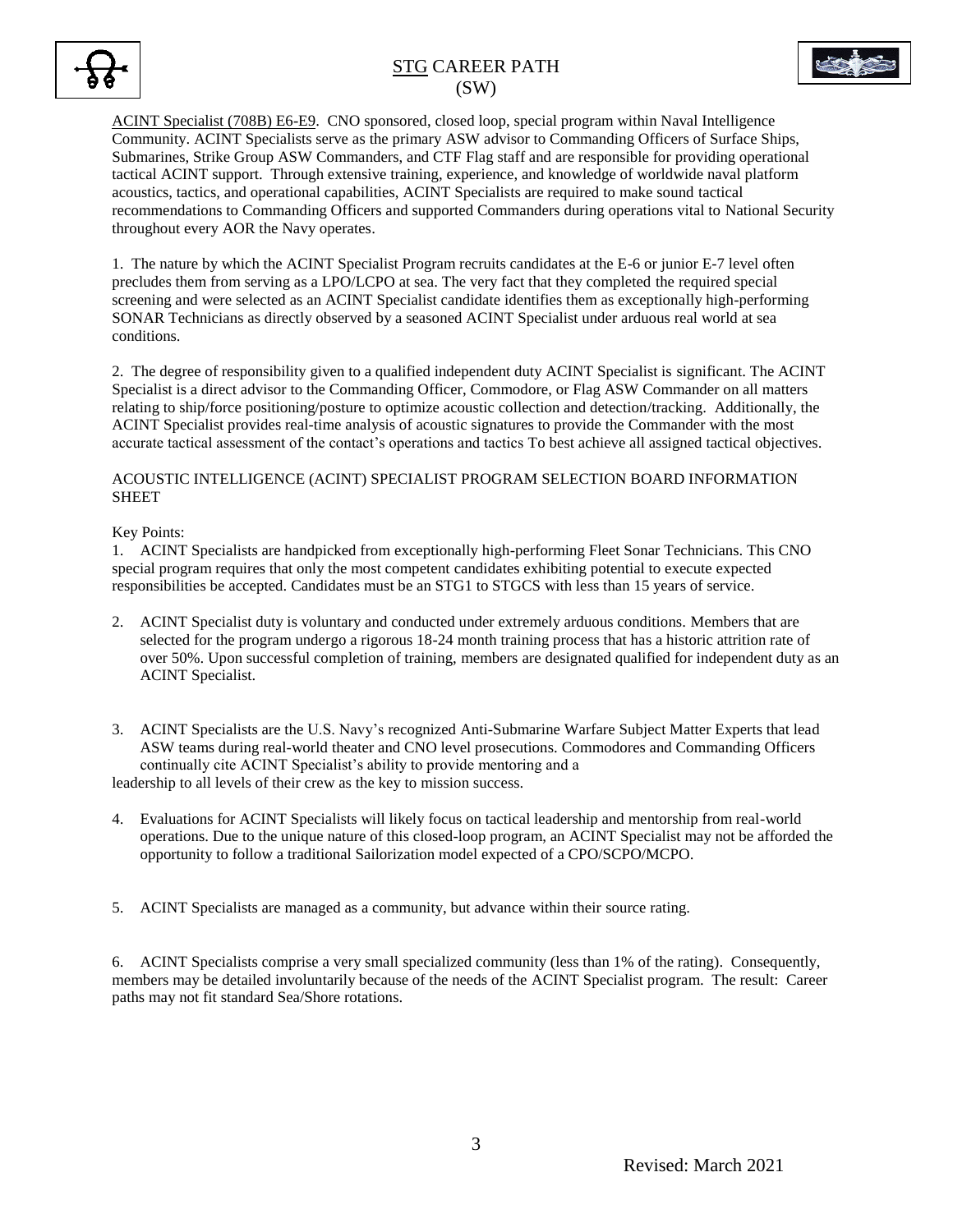



ACINT Specialist (708B) E6-E9. CNO sponsored, closed loop, special program within Naval Intelligence Community. ACINT Specialists serve as the primary ASW advisor to Commanding Officers of Surface Ships, Submarines, Strike Group ASW Commanders, and CTF Flag staff and are responsible for providing operational tactical ACINT support. Through extensive training, experience, and knowledge of worldwide naval platform acoustics, tactics, and operational capabilities, ACINT Specialists are required to make sound tactical recommendations to Commanding Officers and supported Commanders during operations vital to National Security throughout every AOR the Navy operates.

1. The nature by which the ACINT Specialist Program recruits candidates at the E-6 or junior E-7 level often precludes them from serving as a LPO/LCPO at sea. The very fact that they completed the required special screening and were selected as an ACINT Specialist candidate identifies them as exceptionally high-performing SONAR Technicians as directly observed by a seasoned ACINT Specialist under arduous real world at sea conditions.

2. The degree of responsibility given to a qualified independent duty ACINT Specialist is significant. The ACINT Specialist is a direct advisor to the Commanding Officer, Commodore, or Flag ASW Commander on all matters relating to ship/force positioning/posture to optimize acoustic collection and detection/tracking. Additionally, the ACINT Specialist provides real-time analysis of acoustic signatures to provide the Commander with the most accurate tactical assessment of the contact's operations and tactics To best achieve all assigned tactical objectives.

### ACOUSTIC INTELLIGENCE (ACINT) SPECIALIST PROGRAM SELECTION BOARD INFORMATION SHEET

### Key Points:

1. ACINT Specialists are handpicked from exceptionally high-performing Fleet Sonar Technicians. This CNO special program requires that only the most competent candidates exhibiting potential to execute expected responsibilities be accepted. Candidates must be an STG1 to STGCS with less than 15 years of service.

- 2. ACINT Specialist duty is voluntary and conducted under extremely arduous conditions. Members that are selected for the program undergo a rigorous 18-24 month training process that has a historic attrition rate of over 50%. Upon successful completion of training, members are designated qualified for independent duty as an ACINT Specialist.
- 3. ACINT Specialists are the U.S. Navy's recognized Anti-Submarine Warfare Subject Matter Experts that lead ASW teams during real-world theater and CNO level prosecutions. Commodores and Commanding Officers continually cite ACINT Specialist's ability to provide mentoring and a leadership to all levels of their crew as the key to mission success.
- 4. Evaluations for ACINT Specialists will likely focus on tactical leadership and mentorship from real-world operations. Due to the unique nature of this closed-loop program, an ACINT Specialist may not be afforded the opportunity to follow a traditional Sailorization model expected of a CPO/SCPO/MCPO.
- 5. ACINT Specialists are managed as a community, but advance within their source rating.

6. ACINT Specialists comprise a very small specialized community (less than 1% of the rating). Consequently, members may be detailed involuntarily because of the needs of the ACINT Specialist program. The result: Career paths may not fit standard Sea/Shore rotations.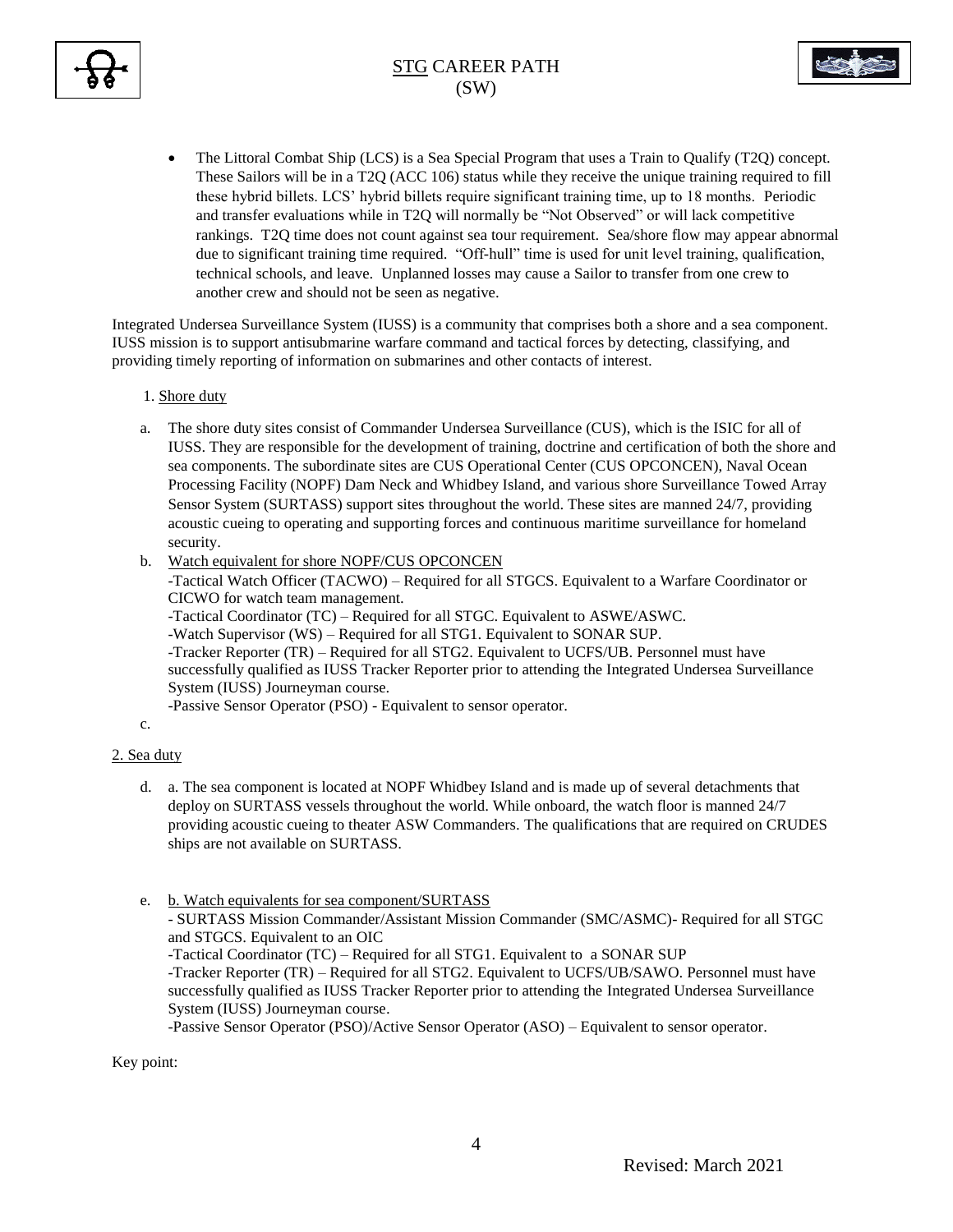



• The Littoral Combat Ship (LCS) is a Sea Special Program that uses a Train to Qualify (T2Q) concept. These Sailors will be in a T2Q (ACC 106) status while they receive the unique training required to fill these hybrid billets. LCS' hybrid billets require significant training time, up to 18 months. Periodic and transfer evaluations while in T2Q will normally be "Not Observed" or will lack competitive rankings. T2Q time does not count against sea tour requirement. Sea/shore flow may appear abnormal due to significant training time required. "Off-hull" time is used for unit level training, qualification, technical schools, and leave. Unplanned losses may cause a Sailor to transfer from one crew to another crew and should not be seen as negative.

Integrated Undersea Surveillance System (IUSS) is a community that comprises both a shore and a sea component. IUSS mission is to support antisubmarine warfare command and tactical forces by detecting, classifying, and providing timely reporting of information on submarines and other contacts of interest.

### 1. Shore duty

- a. The shore duty sites consist of Commander Undersea Surveillance (CUS), which is the ISIC for all of IUSS. They are responsible for the development of training, doctrine and certification of both the shore and sea components. The subordinate sites are CUS Operational Center (CUS OPCONCEN), Naval Ocean Processing Facility (NOPF) Dam Neck and Whidbey Island, and various shore Surveillance Towed Array Sensor System (SURTASS) support sites throughout the world. These sites are manned 24/7, providing acoustic cueing to operating and supporting forces and continuous maritime surveillance for homeland security.
- b. Watch equivalent for shore NOPF/CUS OPCONCEN

-Tactical Watch Officer (TACWO) – Required for all STGCS. Equivalent to a Warfare Coordinator or CICWO for watch team management.

-Tactical Coordinator (TC) – Required for all STGC. Equivalent to ASWE/ASWC.

-Watch Supervisor (WS) – Required for all STG1. Equivalent to SONAR SUP.

-Tracker Reporter (TR) – Required for all STG2. Equivalent to UCFS/UB. Personnel must have successfully qualified as IUSS Tracker Reporter prior to attending the Integrated Undersea Surveillance System (IUSS) Journeyman course.

-Passive Sensor Operator (PSO) - Equivalent to sensor operator.

### c.

#### 2. Sea duty

- d. a. The sea component is located at NOPF Whidbey Island and is made up of several detachments that deploy on SURTASS vessels throughout the world. While onboard, the watch floor is manned 24/7 providing acoustic cueing to theater ASW Commanders. The qualifications that are required on CRUDES ships are not available on SURTASS.
- e. b. Watch equivalents for sea component/SURTASS

- SURTASS Mission Commander/Assistant Mission Commander (SMC/ASMC)- Required for all STGC and STGCS. Equivalent to an OIC

-Tactical Coordinator (TC) – Required for all STG1. Equivalent to a SONAR SUP

-Tracker Reporter (TR) – Required for all STG2. Equivalent to UCFS/UB/SAWO. Personnel must have successfully qualified as IUSS Tracker Reporter prior to attending the Integrated Undersea Surveillance System (IUSS) Journeyman course.

-Passive Sensor Operator (PSO)/Active Sensor Operator (ASO) – Equivalent to sensor operator.

Key point: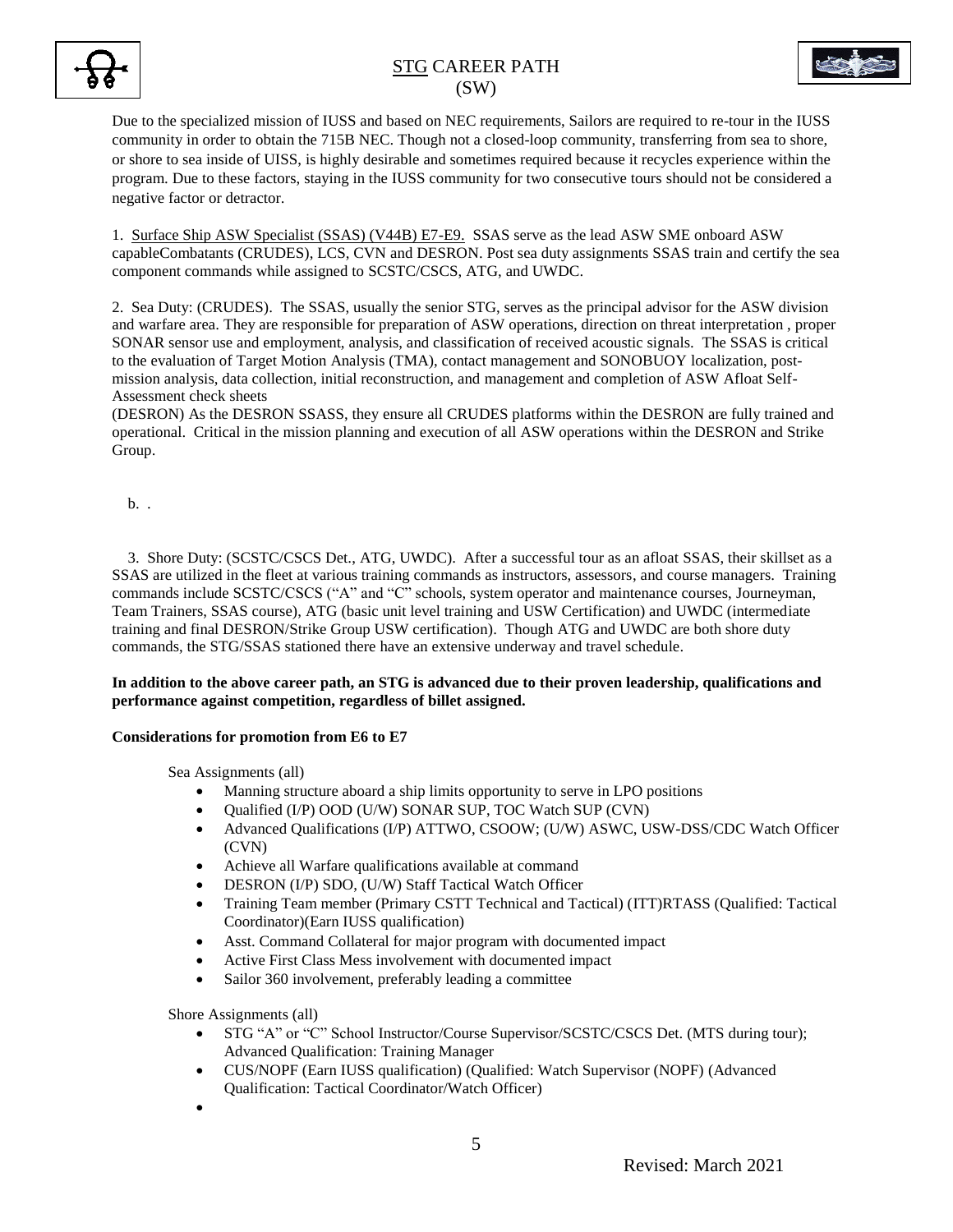



Due to the specialized mission of IUSS and based on NEC requirements, Sailors are required to re-tour in the IUSS community in order to obtain the 715B NEC. Though not a closed-loop community, transferring from sea to shore, or shore to sea inside of UISS, is highly desirable and sometimes required because it recycles experience within the program. Due to these factors, staying in the IUSS community for two consecutive tours should not be considered a negative factor or detractor.

1. Surface Ship ASW Specialist (SSAS) (V44B) E7-E9. SSAS serve as the lead ASW SME onboard ASW capableCombatants (CRUDES), LCS, CVN and DESRON. Post sea duty assignments SSAS train and certify the sea component commands while assigned to SCSTC/CSCS, ATG, and UWDC.

2. Sea Duty: (CRUDES). The SSAS, usually the senior STG, serves as the principal advisor for the ASW division and warfare area. They are responsible for preparation of ASW operations, direction on threat interpretation , proper SONAR sensor use and employment, analysis, and classification of received acoustic signals. The SSAS is critical to the evaluation of Target Motion Analysis (TMA), contact management and SONOBUOY localization, postmission analysis, data collection, initial reconstruction, and management and completion of ASW Afloat Self-Assessment check sheets

(DESRON) As the DESRON SSASS, they ensure all CRUDES platforms within the DESRON are fully trained and operational. Critical in the mission planning and execution of all ASW operations within the DESRON and Strike Group.

b. .

 3. Shore Duty: (SCSTC/CSCS Det., ATG, UWDC). After a successful tour as an afloat SSAS, their skillset as a SSAS are utilized in the fleet at various training commands as instructors, assessors, and course managers. Training commands include SCSTC/CSCS ("A" and "C" schools, system operator and maintenance courses, Journeyman, Team Trainers, SSAS course), ATG (basic unit level training and USW Certification) and UWDC (intermediate training and final DESRON/Strike Group USW certification). Though ATG and UWDC are both shore duty commands, the STG/SSAS stationed there have an extensive underway and travel schedule.

### **In addition to the above career path, an STG is advanced due to their proven leadership, qualifications and performance against competition, regardless of billet assigned.**

### **Considerations for promotion from E6 to E7**

Sea Assignments (all)

- Manning structure aboard a ship limits opportunity to serve in LPO positions
- Qualified (I/P) OOD (U/W) SONAR SUP, TOC Watch SUP (CVN)
- Advanced Qualifications (I/P) ATTWO, CSOOW; (U/W) ASWC, USW-DSS/CDC Watch Officer (CVN)
- Achieve all Warfare qualifications available at command
- DESRON (I/P) SDO, (U/W) Staff Tactical Watch Officer
- Training Team member (Primary CSTT Technical and Tactical) (ITT)RTASS (Qualified: Tactical Coordinator)(Earn IUSS qualification)
- Asst. Command Collateral for major program with documented impact
- Active First Class Mess involvement with documented impact
- Sailor 360 involvement, preferably leading a committee

Shore Assignments (all)

- STG "A" or "C" School Instructor/Course Supervisor/SCSTC/CSCS Det. (MTS during tour); Advanced Qualification: Training Manager
- CUS/NOPF (Earn IUSS qualification) (Qualified: Watch Supervisor (NOPF) (Advanced Qualification: Tactical Coordinator/Watch Officer)
- $\bullet$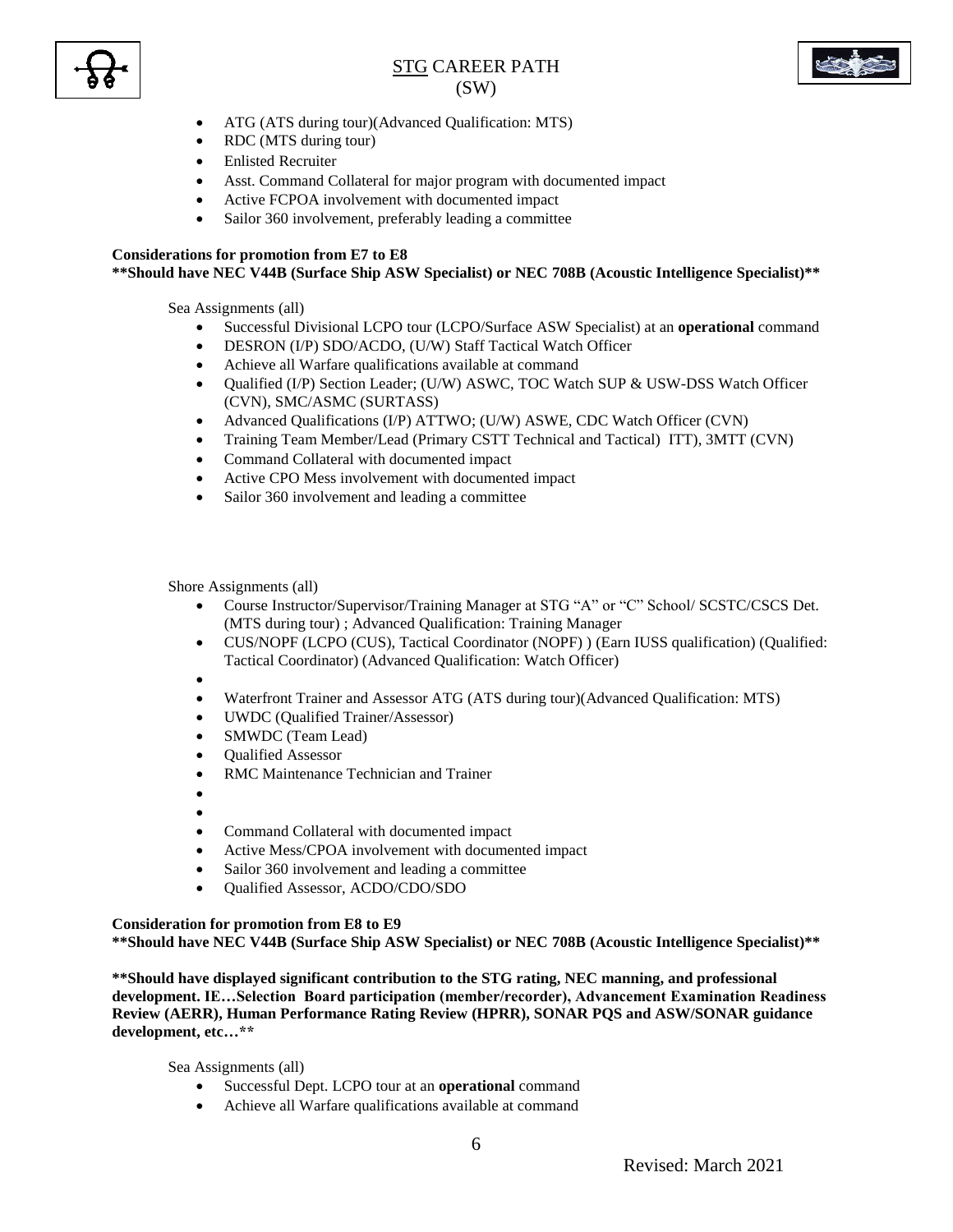



- ATG (ATS during tour)(Advanced Qualification: MTS)
- RDC (MTS during tour)
- Enlisted Recruiter
- Asst. Command Collateral for major program with documented impact
- Active FCPOA involvement with documented impact
- Sailor 360 involvement, preferably leading a committee

# **Considerations for promotion from E7 to E8**

#### **\*\*Should have NEC V44B (Surface Ship ASW Specialist) or NEC 708B (Acoustic Intelligence Specialist)\*\***

Sea Assignments (all)

- Successful Divisional LCPO tour (LCPO/Surface ASW Specialist) at an **operational** command
- DESRON (I/P) SDO/ACDO, (U/W) Staff Tactical Watch Officer
- Achieve all Warfare qualifications available at command
- Qualified (I/P) Section Leader; (U/W) ASWC, TOC Watch SUP & USW-DSS Watch Officer (CVN), SMC/ASMC (SURTASS)
- Advanced Qualifications (I/P) ATTWO; (U/W) ASWE, CDC Watch Officer (CVN)
- Training Team Member/Lead (Primary CSTT Technical and Tactical) ITT), 3MTT (CVN)
- Command Collateral with documented impact
- Active CPO Mess involvement with documented impact
- Sailor 360 involvement and leading a committee

Shore Assignments (all)

- Course Instructor/Supervisor/Training Manager at STG "A" or "C" School/ SCSTC/CSCS Det. (MTS during tour) ; Advanced Qualification: Training Manager
- CUS/NOPF (LCPO (CUS), Tactical Coordinator (NOPF) ) (Earn IUSS qualification) (Qualified: Tactical Coordinator) (Advanced Qualification: Watch Officer)

 $\bullet$ 

- Waterfront Trainer and Assessor ATG (ATS during tour)(Advanced Qualification: MTS)
- UWDC (Qualified Trainer/Assessor)
- SMWDC (Team Lead)
- Qualified Assessor
- RMC Maintenance Technician and Trainer
- $\bullet$
- $\bullet$
- Command Collateral with documented impact
- Active Mess/CPOA involvement with documented impact
- Sailor 360 involvement and leading a committee
- Qualified Assessor, ACDO/CDO/SDO

### **Consideration for promotion from E8 to E9**

**\*\*Should have NEC V44B (Surface Ship ASW Specialist) or NEC 708B (Acoustic Intelligence Specialist)\*\***

**\*\*Should have displayed significant contribution to the STG rating, NEC manning, and professional development. IE…Selection Board participation (member/recorder), Advancement Examination Readiness Review (AERR), Human Performance Rating Review (HPRR), SONAR PQS and ASW/SONAR guidance development, etc…\*\***

Sea Assignments (all)

- Successful Dept. LCPO tour at an **operational** command
- Achieve all Warfare qualifications available at command